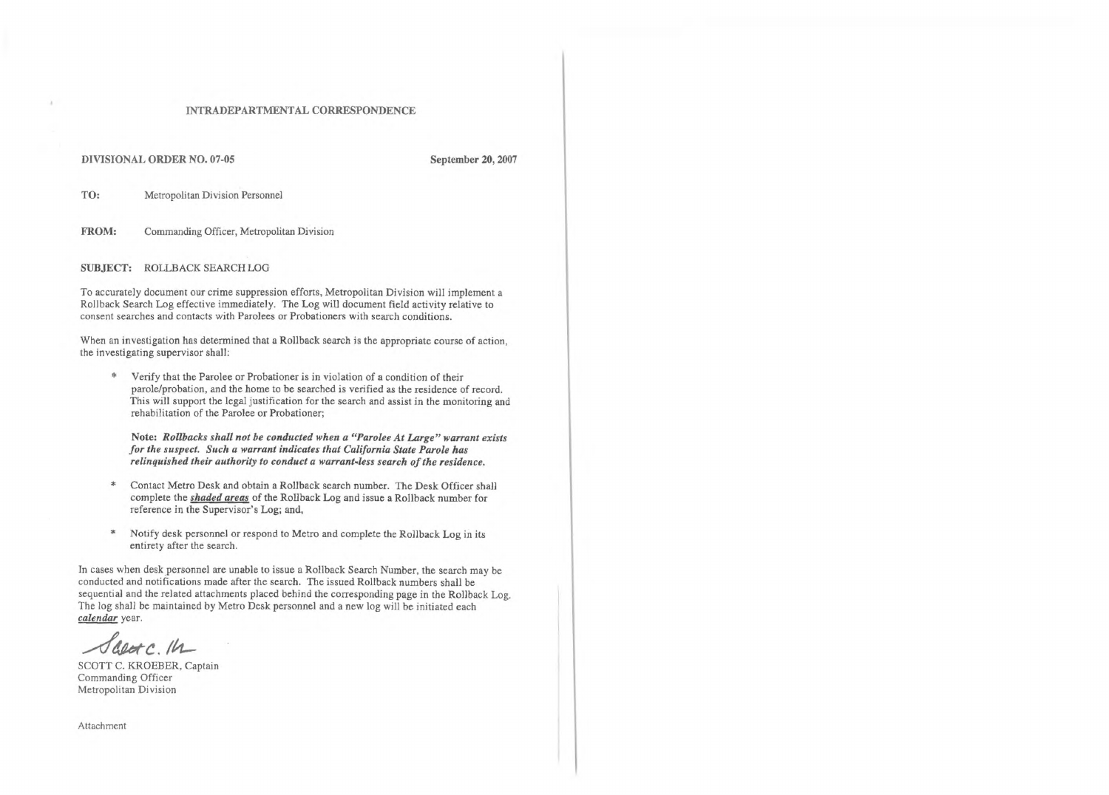## INTRADEPARTMENTAL CORRESPONDENCE

DIVISIONAL ORDER NO. 07-05 **September 20, 2007**

TO: Metropolitan Division Personnel

FROM: Commanding Officer, Metropolitan Division

SUBJECT: ROLLBACK SEARCH LOG

To accurately document our crime suppression efforts, Metropolitan Division will implement a Rollback Search Log effective immediately. The Log will document field activity relative to consent searches and contacts with Parolees or Probationers with search conditions.

When an investigation has determined that a Rollback search is the appropriate course of action, the investigating supervisor shall:

\* Verify that the Parolee or Probationer is in violation of a condition of their parole/probation, and the home to be searched is verified as the residence of record. This will support the legal justification for the search and assist in the monitoring and rehabilitation of the Parolee or Probationer;

Note: *Rollbacks shall not be conducted when a "Parolee At Large" warrant exists forthe suspect. Such a warrant indicates that California State Parole has relinquished their authority to conduct a warrantless search ofthe residence.*

- \* Contact Metro Desk and obtain a Rollback search number. The Desk Officer shall complete the *shaded areas* of the Rollback Log and issue a Rollback number for reference in the Supervisor's Log; and,
- \* Notify desk personnel or respond to Metro and complete the Rollback Log in its entirety after the search.

In cases when desk personnel are unable to issue a Rollback Search Number, the search may be conducted and notifications made after the search. The issued Rollback numbers shall be sequential and the related attachments placed behind the corresponding page in the Rollback Log. The log shall be maintained by Metro Desk personnel and a new log will be initiated each *calendar* year.

 $d$  and  $c$ .  $14$ 

SCOTT C. KROEBER, Captain Commanding Officer Metropolitan Division

Attachment